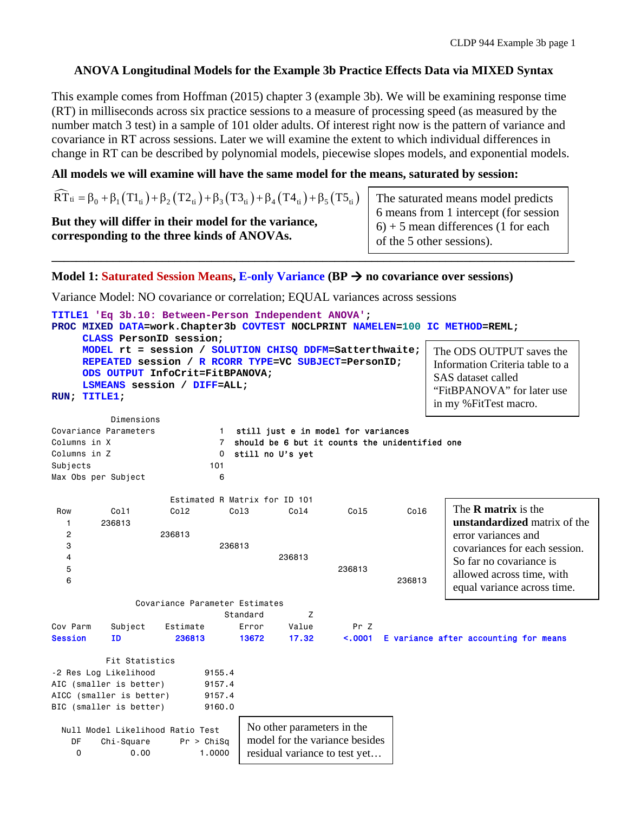# **ANOVA Longitudinal Models for the Example 3b Practice Effects Data via MIXED Syntax**

This example comes from Hoffman (2015) chapter 3 (example 3b). We will be examining response time (RT) in milliseconds across six practice sessions to a measure of processing speed (as measured by the number match 3 test) in a sample of 101 older adults. Of interest right now is the pattern of variance and covariance in RT across sessions. Later we will examine the extent to which individual differences in change in RT can be described by polynomial models, piecewise slopes models, and exponential models.

### **All models we will examine will have the same model for the means, saturated by session:**

| $\widehat{RT}_{ti} = \beta_0 + \beta_1 (T1_{ti}) + \beta_2 (T2_{ti}) + \beta_3 (T3_{ti}) + \beta_4 (T4_{ti}) + \beta_5 (T5_{ti})$ | The saturated means model predicts<br>6 means from 1 intercept (for session |
|-----------------------------------------------------------------------------------------------------------------------------------|-----------------------------------------------------------------------------|
| But they will differ in their model for the variance,                                                                             | $6$ ) + 5 mean differences (1 for each                                      |
| corresponding to the three kinds of ANOVAs.                                                                                       | of the 5 other sessions).                                                   |

## **Model 1: Saturated Session Means, E-only Variance (BP no covariance over sessions)**

Variance Model: NO covariance or correlation; EQUAL variances across sessions

```
TITLE1 'Eq 3b.10: Between-Person Independent ANOVA'; 
PROC MIXED DATA=work.Chapter3b COVTEST NOCLPRINT NAMELEN=100 IC METHOD=REML; 
     CLASS PersonID session; 
     MODEL rt = session / SOLUTION CHISQ DDFM=Satterthwaite; 
     REPEATED session / R RCORR TYPE=VC SUBJECT=PersonID; 
     ODS OUTPUT InfoCrit=FitBPANOVA; 
     LSMEANS session / DIFF=ALL; 
RUN; TITLE1; 
          Dimensions 
Covariance Parameters 1 still just e in model for variances
Columns in X 7 should be 6 but it counts the unidentified one
Columns in Z 0 still no U's yet
Subjects 101 
Max Obs per Subject 6
                   Estimated R Matrix for ID 101 
 Row Col1 Col2 Col3 Col4 Col5 Col6 
   1 236813 
   2 236813 
 3 236813 
 4 236813 
 5 236813 
6 236813
              Covariance Parameter Estimates 
                          Standard Z
Cov Parm Subject Estimate Error Value Pr Z 
Session ID 236813 13672 17.32 <.0001 E variance after accounting for means 
         Fit Statistics 
-2 Res Log Likelihood 9155.4
AIC (smaller is better) 9157.4
AICC (smaller is better) 9157.4
BIC (smaller is better) 9160.0
  Null Model Likelihood Ratio Test 
    DF Chi-Square Pr > ChiSq 
    0 0.00 1.0000 
                                                              The R matrix is the 
                                                              unstandardized matrix of the 
                                                              error variances and 
                                                              covariances for each session. 
                                                              So far no covariance is 
                                                              allowed across time, with 
                                                              equal variance across time. 
                              No other parameters in the 
                              model for the variance besides 
                              residual variance to test yet… 
                                                           The ODS OUTPUT saves the 
                                                           Information Criteria table to a 
                                                           SAS dataset called 
                                                           "FitBPANOVA" for later use 
                                                           in my %FitTest macro.
```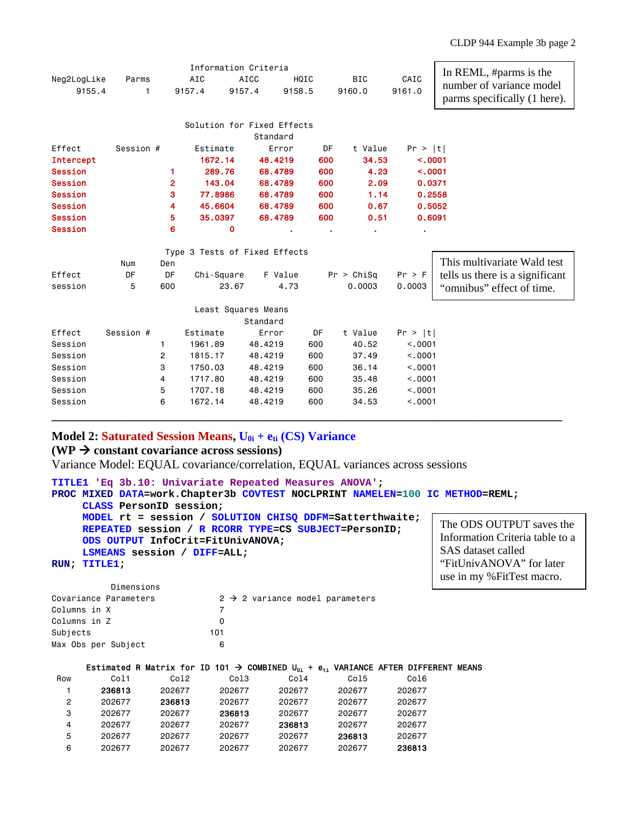| Neg2LogLike<br>Parms<br>9155.4<br>1 |                                        |                |     |                      |                |                                                                                    |  |  |  |  |
|-------------------------------------|----------------------------------------|----------------|-----|----------------------|----------------|------------------------------------------------------------------------------------|--|--|--|--|
|                                     | <b>AICC</b><br>AIC<br>9157.4<br>9157.4 | HQIC<br>9158.5 |     | <b>BIC</b><br>9160.0 | CAIC<br>9161.0 | In REML, #parms is the<br>number of variance model<br>parms specifically (1 here). |  |  |  |  |
|                                     |                                        |                |     |                      |                |                                                                                    |  |  |  |  |
| Solution for Fixed Effects          |                                        |                |     |                      |                |                                                                                    |  |  |  |  |
| Standard                            |                                        |                |     |                      |                |                                                                                    |  |  |  |  |
| Effect<br>Session #                 | Estimate                               | Error          | DF  | t Value              | Pr >  t        |                                                                                    |  |  |  |  |
| <b>Intercept</b>                    | 1672.14                                | 48.4219        | 600 | 34.53                | < .0001        |                                                                                    |  |  |  |  |
| <b>Session</b><br>1                 | 289.76                                 | 68.4789        | 600 | 4.23                 | < .0001        |                                                                                    |  |  |  |  |
| 2<br><b>Session</b>                 | 143.04                                 | 68.4789        | 600 | 2.09                 | 0.0371         |                                                                                    |  |  |  |  |
| 3<br><b>Session</b>                 | 77.8986                                | 68.4789        | 600 | 1.14                 | 0.2558         |                                                                                    |  |  |  |  |
| 4<br><b>Session</b>                 | 45.6604                                | 68.4789        | 600 | 0.67                 | 0.5052         |                                                                                    |  |  |  |  |
| 5<br><b>Session</b>                 | 35.0397                                | 68.4789        | 600 | 0.51                 | 0.6091         |                                                                                    |  |  |  |  |
| 6<br><b>Session</b>                 | 0                                      |                |     |                      |                |                                                                                    |  |  |  |  |
|                                     | Type 3 Tests of Fixed Effects          |                |     |                      |                |                                                                                    |  |  |  |  |
| Num<br>Den                          |                                        |                |     |                      |                | This multivariate Wald test                                                        |  |  |  |  |
| Effect<br>DF<br>DF                  | Chi-Square                             | F Value        |     | Pr > Chisq           | Pr > F         | tells us there is a significant                                                    |  |  |  |  |
| 5<br>600<br>session                 | 23.67                                  | 4.73           |     | 0.0003               | 0.0003         | "omnibus" effect of time.                                                          |  |  |  |  |
|                                     | Least Squares Means                    |                |     |                      |                |                                                                                    |  |  |  |  |
|                                     |                                        | Standard       |     |                      |                |                                                                                    |  |  |  |  |
| Session #<br>Effect                 | Estimate                               | Error          | DF  | t Value              | Pr >  t        |                                                                                    |  |  |  |  |
| Session<br>1                        | 1961.89                                | 600<br>48.4219 |     | 40.52                | < 0.001        |                                                                                    |  |  |  |  |
| 2<br>Session                        | 1815.17                                | 48.4219<br>600 |     | 37.49                | < .0001        |                                                                                    |  |  |  |  |
| 3<br>Session                        | 1750.03                                | 48.4219<br>600 |     | 36.14                | < .0001        |                                                                                    |  |  |  |  |
| Session<br>4                        | 1717.80                                | 48.4219<br>600 |     | 35.48                | < .0001        |                                                                                    |  |  |  |  |
| Session<br>5                        | 1707.18                                | 600<br>48.4219 |     | 35.26                | < .0001        |                                                                                    |  |  |  |  |
| Session<br>6                        | 1672.14                                | 48.4219<br>600 |     | 34.53                | < .0001        |                                                                                    |  |  |  |  |

### **Model 2: Saturated Session Means,**  $U_{0i}$  **+**  $e_{ti}$  **(CS) Variance**

### $(WP \rightarrow constant covariance across sessions)$

Variance Model: EQUAL covariance/correlation, EQUAL variances across sessions

```
TITLE1 'Eq 3b.10: Univariate Repeated Measures ANOVA'; 
PROC MIXED DATA=work.Chapter3b COVTEST NOCLPRINT NAMELEN=100 IC METHOD=REML; 
      CLASS PersonID session; 
      MODEL rt = session / SOLUTION CHISQ DDFM=Satterthwaite; 
      REPEATED session / R RCORR TYPE=CS SUBJECT=PersonID; 
      ODS OUTPUT InfoCrit=FitUnivANOVA; 
      LSMEANS session / DIFF=ALL; 
RUN; TITLE1; 
                                                                      The ODS OUTPUT saves the 
                                                                      Information Criteria table to a 
                                                                      SAS dataset called 
                                                                      "FitUnivANOVA" for later 
                                                                      use in my %FitTest macro.
```

| Dimensions            |                                             |
|-----------------------|---------------------------------------------|
| Covariance Parameters | $2 \rightarrow 2$ variance model parameters |
| Columns in X          |                                             |
| Columns in Z          |                                             |
| Subjects              | 101                                         |
| Max Obs per Subject   |                                             |

#### Estimated R Matrix for ID 101  $\rightarrow$  COMBINED  $U_{0i}$  +  $e_{ti}$  VARIANCE AFTER DIFFERENT MEANS

| Row | Col1   | Col2   | Col3   | Col4   | Col5   | Col6   |
|-----|--------|--------|--------|--------|--------|--------|
|     | 236813 | 202677 | 202677 | 202677 | 202677 | 202677 |
| 2   | 202677 | 236813 | 202677 | 202677 | 202677 | 202677 |
| 3   | 202677 | 202677 | 236813 | 202677 | 202677 | 202677 |
| 4   | 202677 | 202677 | 202677 | 236813 | 202677 | 202677 |
| 5   | 202677 | 202677 | 202677 | 202677 | 236813 | 202677 |
| 6   | 202677 | 202677 | 202677 | 202677 | 202677 | 236813 |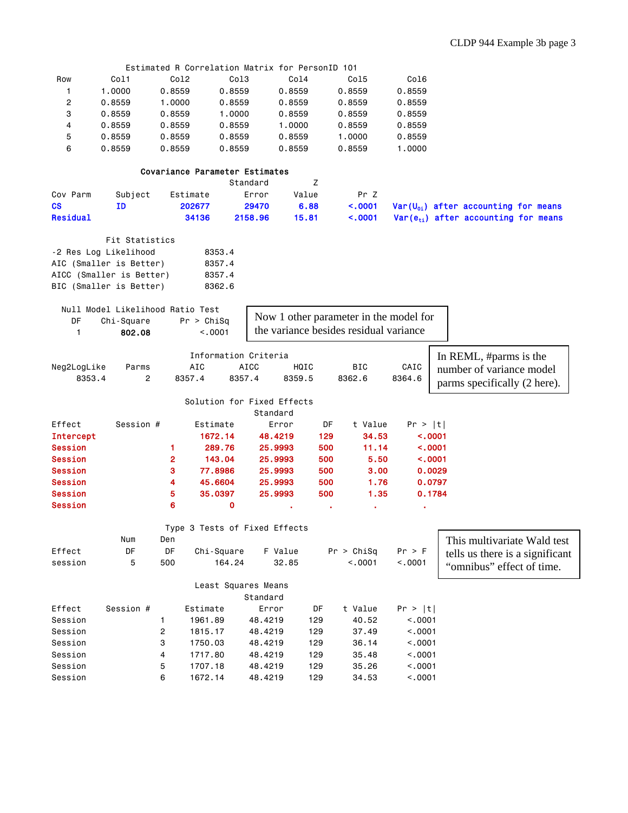|                                  |                                  |                | Estimated R Correlation Matrix for PersonID 101 |             |         |       |                                        |                   |                                          |  |
|----------------------------------|----------------------------------|----------------|-------------------------------------------------|-------------|---------|-------|----------------------------------------|-------------------|------------------------------------------|--|
| Row                              | Col1                             | Col2           | Col3                                            |             | Col4    |       | Col5                                   | Col6              |                                          |  |
| 1                                | 1.0000                           | 0.8559         | 0.8559                                          |             | 0.8559  |       | 0.8559                                 | 0.8559            |                                          |  |
| $\overline{c}$                   | 0.8559                           | 1.0000         | 0.8559                                          |             | 0.8559  |       | 0.8559                                 | 0.8559            |                                          |  |
| 3                                | 0.8559                           | 0.8559         | 1.0000                                          |             | 0.8559  |       | 0.8559                                 | 0.8559            |                                          |  |
| 4                                | 0.8559                           | 0.8559         | 0.8559                                          |             | 1.0000  |       | 0.8559                                 | 0.8559            |                                          |  |
| 5                                | 0.8559                           | 0.8559         | 0.8559                                          |             | 0.8559  |       | 1.0000                                 | 0.8559            |                                          |  |
| 6                                | 0.8559                           | 0.8559         | 0.8559                                          |             | 0.8559  |       | 0.8559                                 | 1.0000            |                                          |  |
|                                  |                                  |                |                                                 |             |         |       |                                        |                   |                                          |  |
| Covariance Parameter Estimates   |                                  |                |                                                 |             |         |       |                                        |                   |                                          |  |
| Standard<br>Ζ                    |                                  |                |                                                 |             |         |       |                                        |                   |                                          |  |
| Cov Parm                         | Subject                          |                | Estimate                                        | Error       |         | Value | Pr Z                                   |                   |                                          |  |
| $\csc$                           | ΙD                               |                | 202677                                          | 29470       |         | 6.88  | < .0001                                |                   | $Var(U_{01})$ after accounting for means |  |
| Residual                         |                                  |                | 34136                                           | 2158.96     |         | 15.81 | < .0001                                |                   | $Var(e_{ti})$ after accounting for means |  |
|                                  |                                  |                |                                                 |             |         |       |                                        |                   |                                          |  |
|                                  | Fit Statistics                   |                |                                                 |             |         |       |                                        |                   |                                          |  |
|                                  | -2 Res Log Likelihood            |                | 8353.4                                          |             |         |       |                                        |                   |                                          |  |
|                                  | AIC (Smaller is Better)          |                | 8357.4                                          |             |         |       |                                        |                   |                                          |  |
|                                  | AICC (Smaller is Better)         |                | 8357.4                                          |             |         |       |                                        |                   |                                          |  |
|                                  | BIC (Smaller is Better)          |                | 8362.6                                          |             |         |       |                                        |                   |                                          |  |
|                                  |                                  |                |                                                 |             |         |       |                                        |                   |                                          |  |
|                                  | Null Model Likelihood Ratio Test |                |                                                 |             |         |       |                                        |                   |                                          |  |
| DF                               | Chi-Square                       |                | Pr > Chisq                                      |             |         |       | Now 1 other parameter in the model for |                   |                                          |  |
| 1                                | 802.08                           |                | < .0001                                         |             |         |       | the variance besides residual variance |                   |                                          |  |
|                                  |                                  |                |                                                 |             |         |       |                                        |                   |                                          |  |
|                                  |                                  |                | Information Criteria                            |             |         |       |                                        |                   | In REML, #parms is the                   |  |
| Neg2LogLike                      | Parms                            |                | AIC                                             | <b>AICC</b> | HQIC    |       | BIC                                    | CAIC              | number of variance model                 |  |
| 8353.4                           | $\overline{2}$                   |                | 8357.4                                          | 8357.4      | 8359.5  |       | 8362.6                                 | 8364.6            |                                          |  |
|                                  |                                  |                |                                                 |             |         |       |                                        |                   | parms specifically (2 here).             |  |
|                                  |                                  |                | Solution for Fixed Effects                      |             |         |       |                                        |                   |                                          |  |
|                                  |                                  |                |                                                 | Standard    |         |       |                                        |                   |                                          |  |
| Effect                           | Session #                        |                | Estimate                                        |             | Error   | DF    | t Value                                | Pr >  t           |                                          |  |
| <b>Intercept</b>                 |                                  |                | 1672.14                                         |             | 48.4219 | 129   | 34.53                                  | < .0001           |                                          |  |
| <b>Session</b>                   |                                  | 1              | 289.76                                          |             | 25.9993 | 500   | 11.14                                  | < .0001           |                                          |  |
| <b>Session</b>                   |                                  | $\mathbf{2}$   | 143.04                                          |             | 25.9993 | 500   | 5.50                                   | $\sim 0001$       |                                          |  |
| <b>Session</b>                   |                                  | 3              | 77.8986                                         |             | 25.9993 | 500   | 3.00                                   | 0.0029            |                                          |  |
| <b>Session</b>                   |                                  | 4              | 45.6604                                         |             | 25.9993 | 500   | 1.76                                   | 0.0797            |                                          |  |
|                                  |                                  | 5              | 35.0397                                         |             | 25.9993 | 500   | 1.35                                   | 0.1784            |                                          |  |
| <b>Session</b><br><b>Session</b> |                                  | 6              | 0                                               |             |         |       |                                        |                   |                                          |  |
|                                  |                                  |                |                                                 |             |         |       |                                        | ٠                 |                                          |  |
|                                  |                                  |                | Type 3 Tests of Fixed Effects                   |             |         |       |                                        |                   |                                          |  |
|                                  | Num                              | Den            |                                                 |             |         |       |                                        |                   |                                          |  |
| Effect                           | DF                               | DF             |                                                 |             | F Value |       | Pr > Chisq                             |                   | This multivariate Wald test              |  |
| session                          | 5                                | 500            | Chi-Square<br>164.24                            |             | 32.85   |       | < 0.001                                | Pr > F<br>< .0001 | tells us there is a significant          |  |
|                                  |                                  |                |                                                 |             |         |       |                                        |                   | "omnibus" effect of time.                |  |
|                                  |                                  |                |                                                 |             |         |       |                                        |                   |                                          |  |
|                                  |                                  |                | Least Squares Means                             | Standard    |         |       |                                        |                   |                                          |  |
| Effect                           | Session #                        |                | Estimate                                        | Error       |         | DF    | t Value                                | Pr >  t           |                                          |  |
| Session                          |                                  |                |                                                 |             |         |       |                                        | < .0001           |                                          |  |
|                                  |                                  | 1              | 1961.89                                         | 48.4219     |         | 129   | 40.52                                  |                   |                                          |  |
| Session                          |                                  | $\overline{c}$ | 1815.17                                         | 48.4219     |         | 129   | 37.49                                  | < .0001           |                                          |  |
| Session                          |                                  | 3              | 1750.03                                         | 48.4219     |         | 129   | 36.14                                  | < .0001           |                                          |  |
| Session                          |                                  | 4              | 1717.80                                         | 48.4219     |         | 129   | 35.48                                  | < .0001           |                                          |  |
| Session                          |                                  | 5              | 1707.18                                         | 48.4219     |         | 129   | 35.26                                  | < .0001           |                                          |  |
| Session                          |                                  | 6              | 1672.14                                         | 48.4219     |         | 129   | 34.53                                  | < .0001           |                                          |  |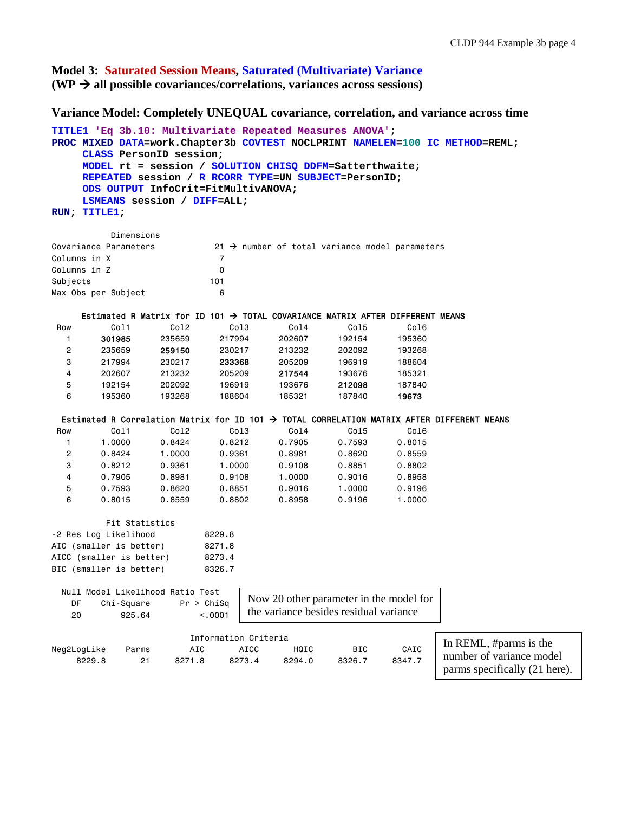**Model 3: Saturated Session Means, Saturated (Multivariate) Variance**   $(WP \rightarrow all possible covariances/correlations, variances across sessions)$ 

**Variance Model: Completely UNEQUAL covariance, correlation, and variance across time** 

```
TITLE1 'Eq 3b.10: Multivariate Repeated Measures ANOVA'; 
PROC MIXED DATA=work.Chapter3b COVTEST NOCLPRINT NAMELEN=100 IC METHOD=REML; 
     CLASS PersonID session; 
     MODEL rt = session / SOLUTION CHISQ DDFM=Satterthwaite; 
     REPEATED session / R RCORR TYPE=UN SUBJECT=PersonID; 
     ODS OUTPUT InfoCrit=FitMultivANOVA; 
     LSMEANS session / DIFF=ALL; 
RUN; TITLE1; 
         Dimensions 
Covariance Parameters 21 \rightarrow number of total variance model parameters
Columns in X 7
Columns in Z 0
Subjects 101 
Max Obs per Subject 6
    Estimated R Matrix for ID 101 \rightarrow TOTAL COVARIANCE MATRIX AFTER DIFFERENT MEANS
 Row Col1 Col2 Col3 Col4 Col5 Col6 
 1 301985 235659 217994 202607 192154 195360 
 2 235659 259150 230217 213232 202092 193268 
 3 217994 230217 233368 205209 196919 188604 
 4 202607 213232 205209 217544 193676 185321 
 5 192154 202092 196919 193676 212098 187840 
 6 195360 193268 188604 185321 187840 19673 
 Estimated R Correlation Matrix for ID 101 \rightarrow TOTAL CORRELATION MATRIX AFTER DIFFERENT MEANS
 Row Col1 Col2 Col3 Col4 Col5 Col6 
 1 1.0000 0.8424 0.8212 0.7905 0.7593 0.8015 
 2 0.8424 1.0000 0.9361 0.8981 0.8620 0.8559 
 3 0.8212 0.9361 1.0000 0.9108 0.8851 0.8802 
 4 0.7905 0.8981 0.9108 1.0000 0.9016 0.8958 
 5 0.7593 0.8620 0.8851 0.9016 1.0000 0.9196 
 6 0.8015 0.8559 0.8802 0.8958 0.9196 1.0000 
         Fit Statistics 
-2 Res Log Likelihood 8229.8 
AIC (smaller is better) 8271.8
AICC (smaller is better) 8273.4 
BIC (smaller is better) 8326.7
  Null Model Likelihood Ratio Test 
   DF Chi-Square Pr > ChiSq 
    20 925.64 <.0001 
                     Information Criteria 
Neg2LogLike Parms AIC AICC HQIC BIC CAIC 
 8229.8 21 8271.8 8273.4 8294.0 8326.7 8347.7 
                             Now 20 other parameter in the model for 
                             the variance besides residual variance 
                                                          In REML, #parms is the 
                                                          number of variance model 
                                                          parms specifically (21 here).
```